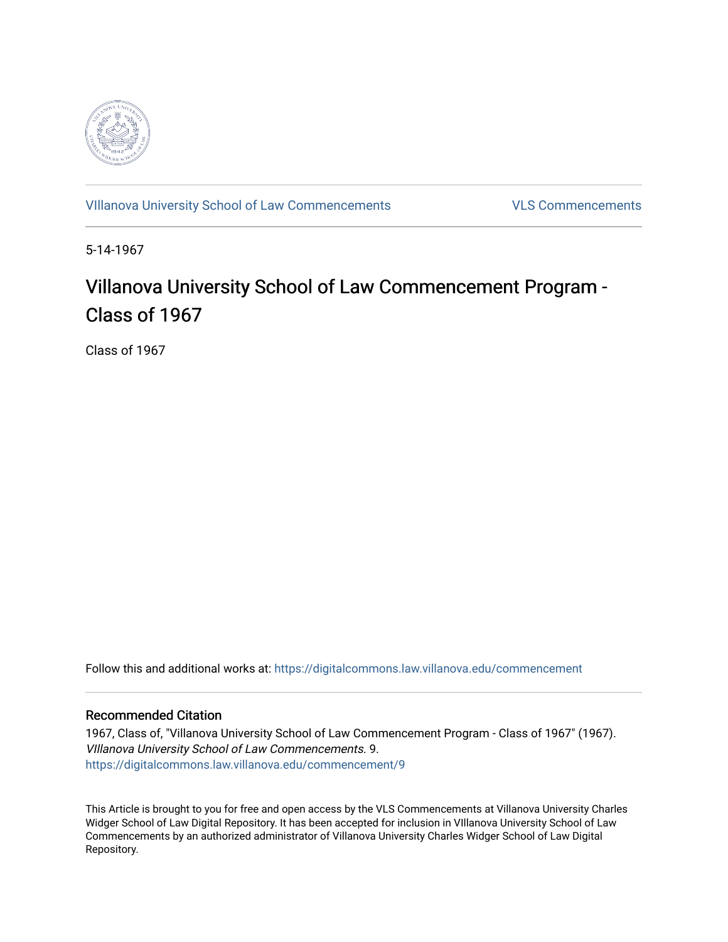

[VIllanova University School of Law Commencements](https://digitalcommons.law.villanova.edu/commencement) [VLS Commencements](https://digitalcommons.law.villanova.edu/vlscommencements) 

5-14-1967

# Villanova University School of Law Commencement Program -Class of 1967

Class of 1967

Follow this and additional works at: [https://digitalcommons.law.villanova.edu/commencement](https://digitalcommons.law.villanova.edu/commencement?utm_source=digitalcommons.law.villanova.edu%2Fcommencement%2F9&utm_medium=PDF&utm_campaign=PDFCoverPages)

#### Recommended Citation

1967, Class of, "Villanova University School of Law Commencement Program - Class of 1967" (1967). VIllanova University School of Law Commencements. 9. [https://digitalcommons.law.villanova.edu/commencement/9](https://digitalcommons.law.villanova.edu/commencement/9?utm_source=digitalcommons.law.villanova.edu%2Fcommencement%2F9&utm_medium=PDF&utm_campaign=PDFCoverPages) 

This Article is brought to you for free and open access by the VLS Commencements at Villanova University Charles Widger School of Law Digital Repository. It has been accepted for inclusion in VIllanova University School of Law Commencements by an authorized administrator of Villanova University Charles Widger School of Law Digital Repository.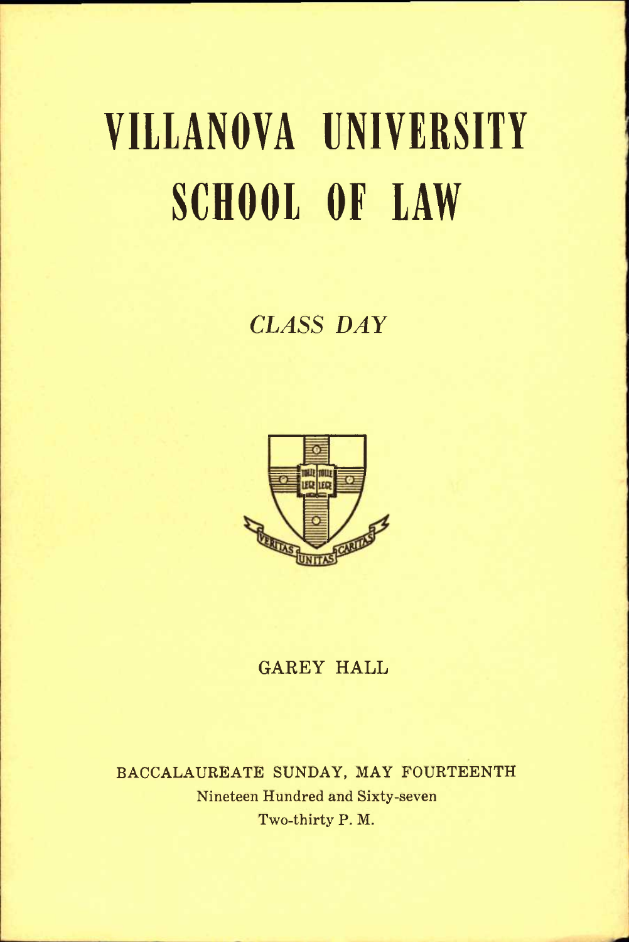# **VIllANOVA UNIVERSITY SCHOOL OF LAW**

# *CLASS DAY*



### **GAREY HALL**

**BACCALAUREATE SUNDAY, MAY FOURTEENTH Nineteen Hundred and Sixty-seven Two-thirty P. M.**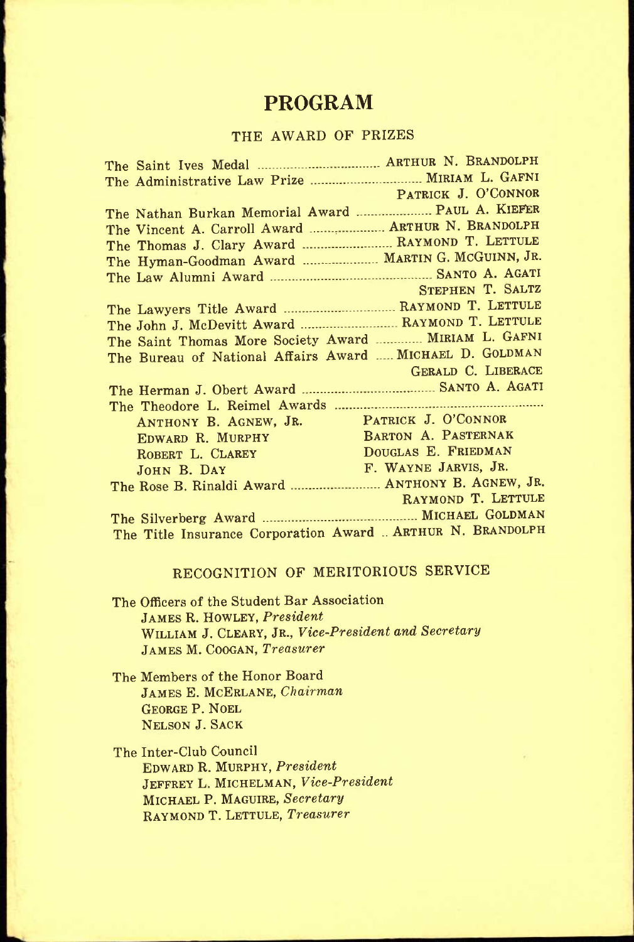# **PROGRAM**

#### THE AWARD OF PRIZES

|                                                                                                                                                               | The Administrative Law Prize  MIRIAM L. GAFNI              |
|---------------------------------------------------------------------------------------------------------------------------------------------------------------|------------------------------------------------------------|
|                                                                                                                                                               | PATRICK J. O'CONNOR                                        |
|                                                                                                                                                               | The Nathan Burkan Memorial Award  PAUL A. KIEFER           |
|                                                                                                                                                               | The Vincent A. Carroll Award  ARTHUR N. BRANDOLPH          |
|                                                                                                                                                               | The Thomas J. Clary Award  RAYMOND T. LETTULE              |
|                                                                                                                                                               | The Hyman-Goodman Award  MARTIN G. MCGUINN, JR.            |
|                                                                                                                                                               |                                                            |
|                                                                                                                                                               | STEPHEN T. SALTZ                                           |
|                                                                                                                                                               | The Lawyers Title Award  RAYMOND T. LETTULE                |
|                                                                                                                                                               | The John J. McDevitt Award  RAYMOND T. LETTULE             |
|                                                                                                                                                               | The Saint Thomas More Society Award  MIRIAM L. GAFNI       |
|                                                                                                                                                               | The Bureau of National Affairs Award  MICHAEL D. GOLDMAN   |
|                                                                                                                                                               | GERALD C. LIBERACE                                         |
|                                                                                                                                                               |                                                            |
|                                                                                                                                                               |                                                            |
| ANTHONY B. AGNEW, JR. PATRICK J. O'CONNOR<br>EDWARD R. MURPHY BARTON A. PASTERNAK<br>ROBERT L. CLAREY DOUGLAS E. FRIEDMAN<br>JOHN B. DAY F. WAYNE JARVIS, JR. |                                                            |
|                                                                                                                                                               | BARTON A. PASTERNAK                                        |
|                                                                                                                                                               |                                                            |
|                                                                                                                                                               |                                                            |
|                                                                                                                                                               | The Rose B. Rinaldi Award  ANTHONY B. AGNEW, JR.           |
|                                                                                                                                                               | RAYMOND T. LETTULE                                         |
|                                                                                                                                                               |                                                            |
|                                                                                                                                                               | The Title Insurance Corporation Award  ARTHUR N. BRANDOLPH |

#### RECOGNITION OF MERITORIOUS SERVICE

The Officers of the Student Bar Association JAMES R. HOWLEY, *President*  WILLIAM J. CLEARY, JR., *Vice-President and Secretary*  JAMES M. COOGAN, *Treasurer* 

The Members of the Honor Board JAMES E. MCERLANE, *Chairman*  GEORGE P. NOEL NELSON J. SACK

The Inter-Club Council EDWARD R. MURPHY, *President*  JEFFREY L. MICHELMAN, *Vice-President*  MICHAEL P. MAGUIRE, *Secretary*  RAYMOND T. LETTULE, *Treasurer*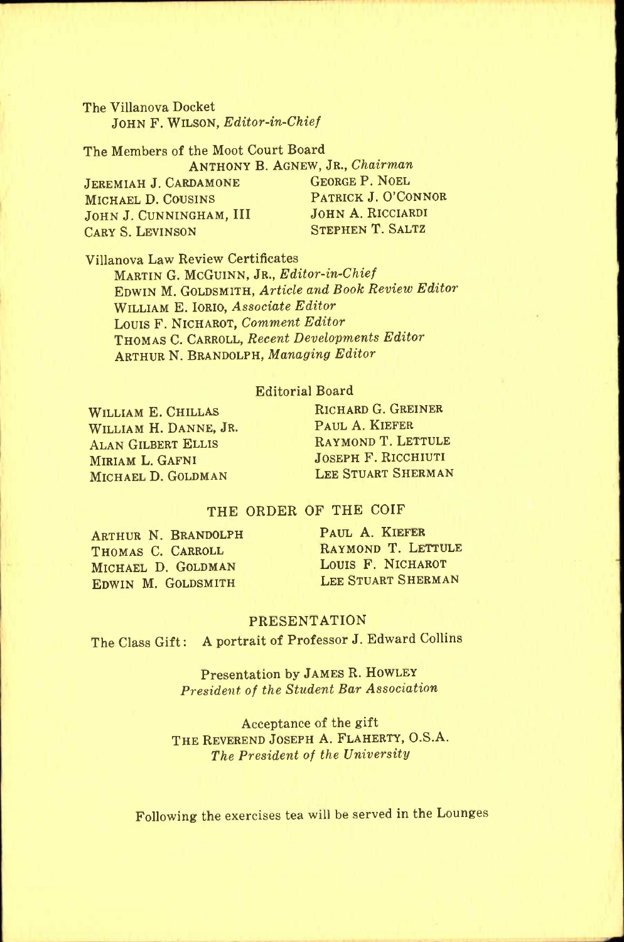The Villanova Docket JOHN F. WILSON, *Editor-in-Chief* 

The Members of the Moot Court Board

JEREMIAH J. CARDAMONE MICHAEL D. COUSINS<br>JOHN J. CUNNINGHAM. III JOHN A. RICCIARDI JOHN J. CUNNINGHAM, III JOHN A. RICCIARDI<br>Cary S. Levinson<br>Stephen T. Saltz CARY S. LEVINSON

ANTHONY B. AGNEW, JR., *Chairman* 

Villanova Law Review Certificates MARTIN G. MCGUINN, JR., *Editor-in-Chief*  EDWIN M. GOLDSMITH, *Article and Book Review Editor*  WILLIAM E. IORIO, *Associate Editor*  LOUIS F. NICHAROT, *Comment Editor*  THOMAS C. CARROLL, *Recent Developments Editor*  ARTHUR N. BRANDOLPH, *Managing Editor* 

#### Editorial Board

WILLIAM E. CHILLAS WILLIAM H. DANNE, JR. ALAN GILBERT ELLIS MIRIAM L. GAFNI MICHAEL D. GOLDMAN

RICHARD G. GREINER PAUL A. KIEFER RAYMOND T. LETTULE JOSEPH F. RICCHIUTI LEE STUART SHERMAN

#### THE ORDER OF THE COIF

ARTHUR N. BRANDOLPH PAUL A. KIEFER **THOMAS C. CARROLL RAYMOND T. LETTULE**<br> **MICHAEL D. GOLDMAN LOUIS F. NICHAROT** MICHAEL D. GOLDMAN LOUIS F. NICHAROT<br>EDWIN M. GOLDSMITH LEE STUART SHERMAN EDWIN M. GOLDSMITH

#### PRESENTATION

The Class Gift; A portrait of Professor J. Edward Collins

Presentation by JAMES R. HOWLEY *President of the Student Bar Association* 

Acceptance of the gift THE REVEREND JOSEPH A. FLAHERTY, O.S.A. *The President of the University* 

Following the exercises tea will be served in the Lounges